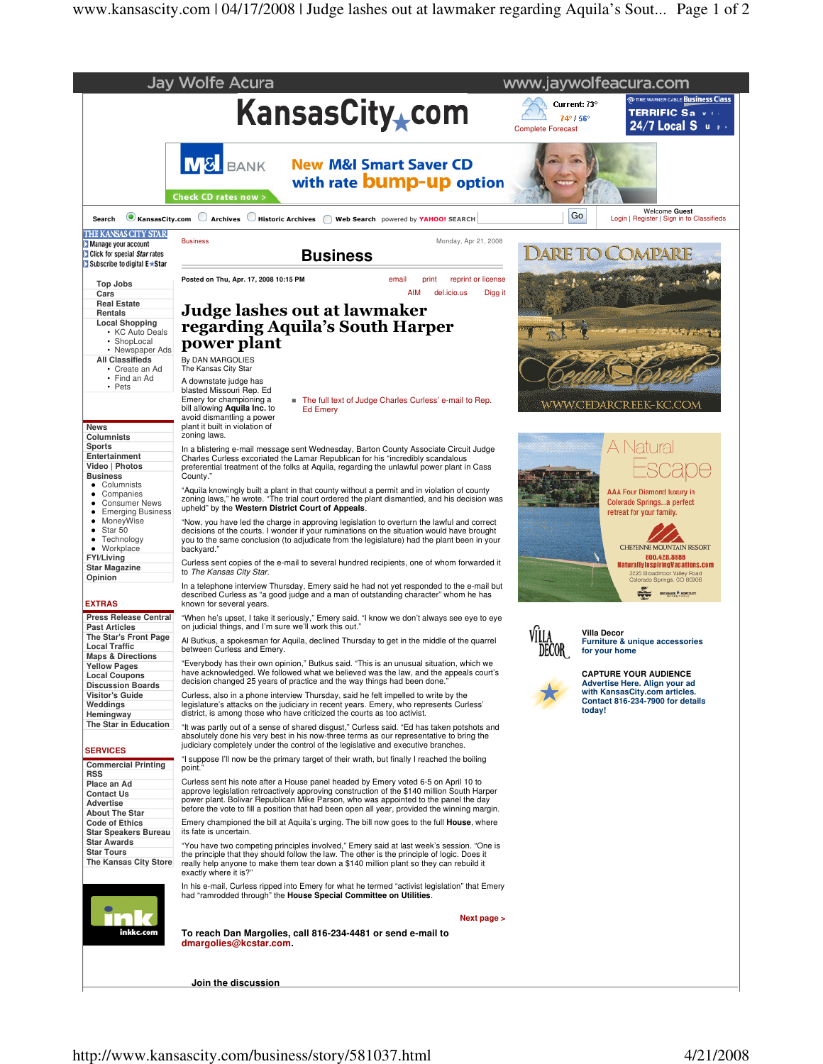